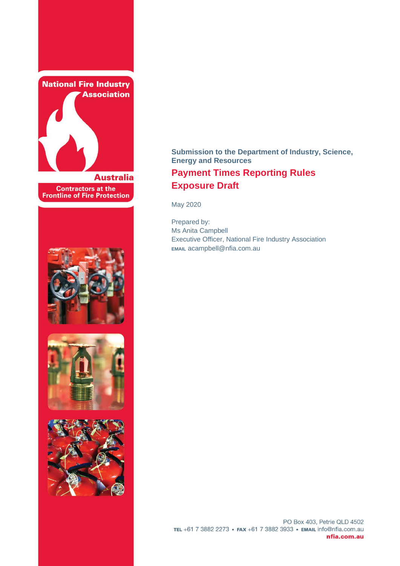

**Contractors at the<br>Frontline of Fire Protection** 







# **Submission to the Department of Industry, Science, Energy and Resources Payment Times Reporting Rules Exposure Draft**

May 2020

Prepared by: Ms Anita Campbell Executive Officer, National Fire Industry Association **EMAIL** acampbell@nfia.com.au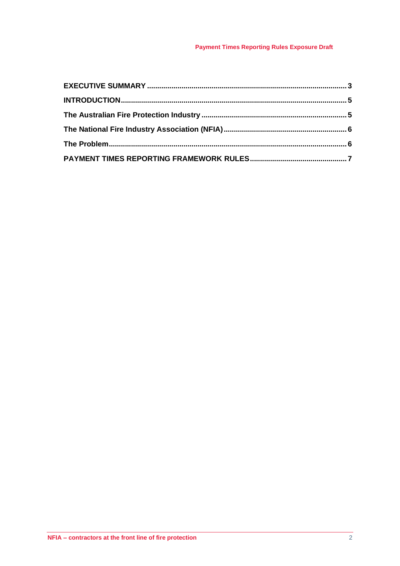## **Payment Times Reporting Rules Exposure Draft**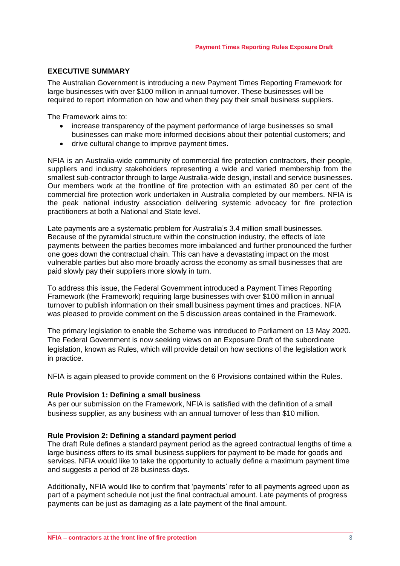## <span id="page-2-0"></span>**EXECUTIVE SUMMARY**

The Australian Government is introducing a new Payment Times Reporting Framework for large businesses with over \$100 million in annual turnover. These businesses will be required to report information on how and when they pay their small business suppliers.

The Framework aims to:

- increase transparency of the payment performance of large businesses so small businesses can make more informed decisions about their potential customers; and
- drive cultural change to improve payment times.

NFIA is an Australia-wide community of commercial fire protection contractors, their people, suppliers and industry stakeholders representing a wide and varied membership from the smallest sub-contractor through to large Australia-wide design, install and service businesses. Our members work at the frontline of fire protection with an estimated 80 per cent of the commercial fire protection work undertaken in Australia completed by our members. NFIA is the peak national industry association delivering systemic advocacy for fire protection practitioners at both a National and State level.

Late payments are a systematic problem for Australia's 3.4 million small businesses. Because of the pyramidal structure within the construction industry, the effects of late payments between the parties becomes more imbalanced and further pronounced the further one goes down the contractual chain. This can have a devastating impact on the most vulnerable parties but also more broadly across the economy as small businesses that are paid slowly pay their suppliers more slowly in turn.

To address this issue, the Federal Government introduced a Payment Times Reporting Framework (the Framework) requiring large businesses with over \$100 million in annual turnover to publish information on their small business payment times and practices. NFIA was pleased to provide comment on the 5 discussion areas contained in the Framework.

The primary legislation to enable the Scheme was introduced to Parliament on 13 May 2020. The Federal Government is now seeking views on an Exposure Draft of the subordinate legislation, known as Rules, which will provide detail on how sections of the legislation work in practice.

NFIA is again pleased to provide comment on the 6 Provisions contained within the Rules.

#### **Rule Provision 1: Defining a small business**

As per our submission on the Framework, NFIA is satisfied with the definition of a small business supplier, as any business with an annual turnover of less than \$10 million.

#### **Rule Provision 2: Defining a standard payment period**

The draft Rule defines a standard payment period as the agreed contractual lengths of time a large business offers to its small business suppliers for payment to be made for goods and services. NFIA would like to take the opportunity to actually define a maximum payment time and suggests a period of 28 business days.

Additionally, NFIA would like to confirm that 'payments' refer to all payments agreed upon as part of a payment schedule not just the final contractual amount. Late payments of progress payments can be just as damaging as a late payment of the final amount.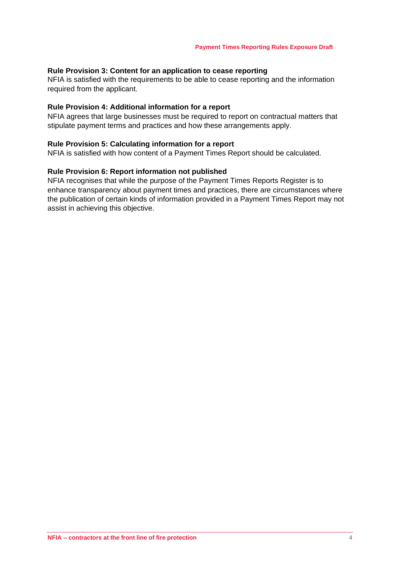## **Rule Provision 3: Content for an application to cease reporting**

NFIA is satisfied with the requirements to be able to cease reporting and the information required from the applicant.

#### **Rule Provision 4: Additional information for a report**

NFIA agrees that large businesses must be required to report on contractual matters that stipulate payment terms and practices and how these arrangements apply.

## **Rule Provision 5: Calculating information for a report**

NFIA is satisfied with how content of a Payment Times Report should be calculated.

#### **Rule Provision 6: Report information not published**

NFIA recognises that while the purpose of the Payment Times Reports Register is to enhance transparency about payment times and practices, there are circumstances where the publication of certain kinds of information provided in a Payment Times Report may not assist in achieving this objective.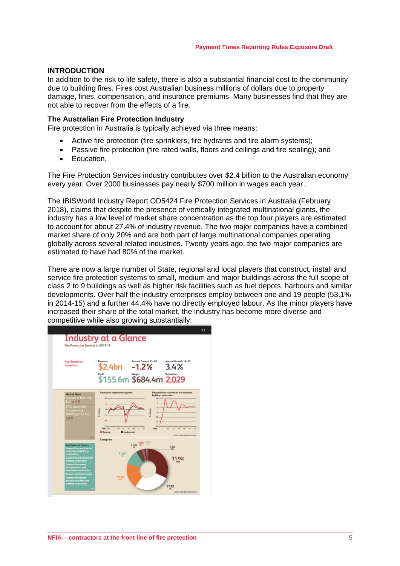## <span id="page-4-0"></span>**INTRODUCTION**

In addition to the risk to life safety, there is also a substantial financial cost to the community due to building fires. Fires cost Australian business millions of dollars due to property damage, fines, compensation, and insurance premiums. Many businesses find that they are not able to recover from the effects of a fire.

#### <span id="page-4-1"></span>**The Australian Fire Protection Industry**

Fire protection in Australia is typically achieved via three means:

- Active fire protection (fire sprinklers, fire hydrants and fire alarm systems);
- Passive fire protection (fire rated walls, floors and ceilings and fire sealing); and
- Education.

The Fire Protection Services industry contributes over \$2.4 billion to the Australian economy every year. Over 2000 businesses pay nearly \$700 million in wages each year..

The IBISWorld Industry Report OD5424 Fire Protection Services in Australia (February 2018), claims that despite the presence of vertically integrated multinational giants, the industry has a low level of market share concentration as the top four players are estimated to account for about 27.4% of industry revenue. The two major companies have a combined market share of only 20% and are both part of large multinational companies operating globally across several related industries. Twenty years ago, the two major companies are estimated to have had 80% of the market.

There are now a large number of State, regional and local players that construct, install and service fire protection systems to small, medium and major buildings across the full scope of class 2 to 9 buildings as well as higher risk facilities such as fuel depots, harbours and similar developments. Over half the industry enterprises employ between one and 19 people (53.1% in 2014-15) and a further 44.4% have no directly employed labour. As the minor players have increased their share of the total market, the industry has become more diverse and competitive while also growing substantially.

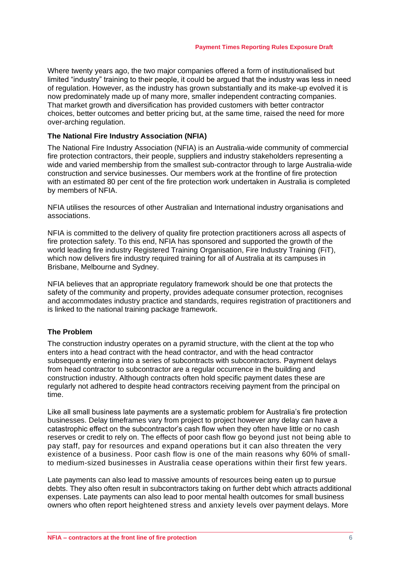Where twenty years ago, the two major companies offered a form of institutionalised but limited "industry" training to their people, it could be argued that the industry was less in need of regulation. However, as the industry has grown substantially and its make-up evolved it is now predominately made up of many more, smaller independent contracting companies. That market growth and diversification has provided customers with better contractor choices, better outcomes and better pricing but, at the same time, raised the need for more over-arching regulation.

## <span id="page-5-0"></span>**The National Fire Industry Association (NFIA)**

The National Fire Industry Association (NFIA) is an Australia-wide community of commercial fire protection contractors, their people, suppliers and industry stakeholders representing a wide and varied membership from the smallest sub-contractor through to large Australia-wide construction and service businesses. Our members work at the frontline of fire protection with an estimated 80 per cent of the fire protection work undertaken in Australia is completed by members of NFIA.

NFIA utilises the resources of other Australian and International industry organisations and associations.

NFIA is committed to the delivery of quality fire protection practitioners across all aspects of fire protection safety. To this end, NFIA has sponsored and supported the growth of the world leading fire industry Registered Training Organisation, Fire Industry Training (FiT), which now delivers fire industry required training for all of Australia at its campuses in Brisbane, Melbourne and Sydney.

NFIA believes that an appropriate regulatory framework should be one that protects the safety of the community and property, provides adequate consumer protection, recognises and accommodates industry practice and standards, requires registration of practitioners and is linked to the national training package framework.

## <span id="page-5-1"></span>**The Problem**

The construction industry operates on a pyramid structure, with the client at the top who enters into a head contract with the head contractor, and with the head contractor subsequently entering into a series of subcontracts with subcontractors. Payment delays from head contractor to subcontractor are a regular occurrence in the building and construction industry. Although contracts often hold specific payment dates these are regularly not adhered to despite head contractors receiving payment from the principal on time.

Like all small business late payments are a systematic problem for Australia's fire protection businesses. Delay timeframes vary from project to project however any delay can have a catastrophic effect on the subcontractor's cash flow when they often have little or no cash reserves or credit to rely on. The effects of poor cash flow go beyond just not being able to pay staff, pay for resources and expand operations but it can also threaten the very existence of a business. Poor cash flow is one of the main reasons why 60% of smallto medium-sized businesses in Australia cease operations within their first few years.

Late payments can also lead to massive amounts of resources being eaten up to pursue debts. They also often result in subcontractors taking on further debt which attracts additional expenses. Late payments can also lead to poor mental health outcomes for small business owners who often report heightened stress and anxiety levels over payment delays. More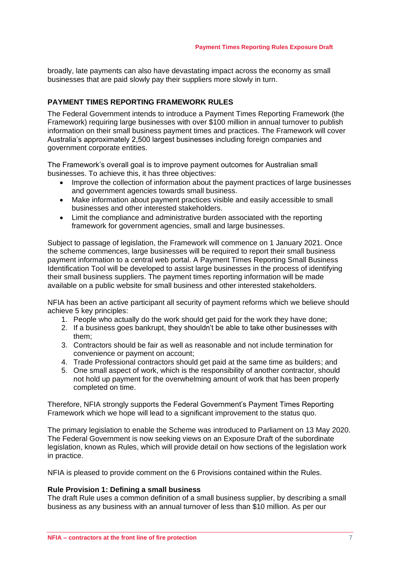broadly, late payments can also have devastating impact across the economy as small businesses that are paid slowly pay their suppliers more slowly in turn.

## <span id="page-6-0"></span>**PAYMENT TIMES REPORTING FRAMEWORK RULES**

The Federal Government intends to introduce a Payment Times Reporting Framework (the Framework) requiring large businesses with over \$100 million in annual turnover to publish information on their small business payment times and practices. The Framework will cover Australia's approximately 2,500 largest businesses including foreign companies and government corporate entities.

The Framework's overall goal is to improve payment outcomes for Australian small businesses. To achieve this, it has three objectives:

- Improve the collection of information about the payment practices of large businesses and government agencies towards small business.
- Make information about payment practices visible and easily accessible to small businesses and other interested stakeholders.
- Limit the compliance and administrative burden associated with the reporting framework for government agencies, small and large businesses.

Subject to passage of legislation, the Framework will commence on 1 January 2021. Once the scheme commences, large businesses will be required to report their small business payment information to a central web portal. A Payment Times Reporting Small Business Identification Tool will be developed to assist large businesses in the process of identifying their small business suppliers. The payment times reporting information will be made available on a public website for small business and other interested stakeholders.

NFIA has been an active participant all security of payment reforms which we believe should achieve 5 key principles:

- 1. People who actually do the work should get paid for the work they have done;
- 2. If a business goes bankrupt, they shouldn't be able to take other businesses with them;
- 3. Contractors should be fair as well as reasonable and not include termination for convenience or payment on account;
- 4. Trade Professional contractors should get paid at the same time as builders; and
- 5. One small aspect of work, which is the responsibility of another contractor, should not hold up payment for the overwhelming amount of work that has been properly completed on time.

Therefore, NFIA strongly supports the Federal Government's Payment Times Reporting Framework which we hope will lead to a significant improvement to the status quo.

The primary legislation to enable the Scheme was introduced to Parliament on 13 May 2020. The Federal Government is now seeking views on an Exposure Draft of the subordinate legislation, known as Rules, which will provide detail on how sections of the legislation work in practice.

NFIA is pleased to provide comment on the 6 Provisions contained within the Rules.

#### **Rule Provision 1: Defining a small business**

The draft Rule uses a common definition of a small business supplier, by describing a small business as any business with an annual turnover of less than \$10 million. As per our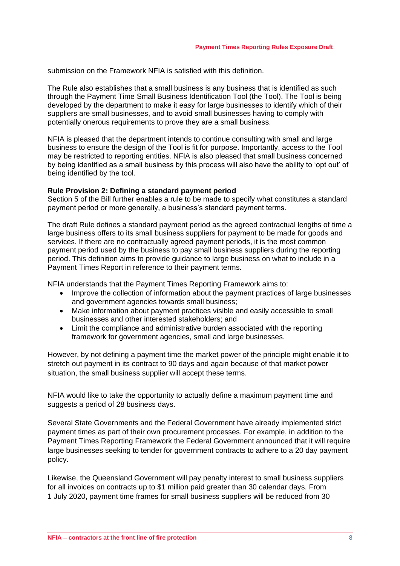submission on the Framework NFIA is satisfied with this definition.

The Rule also establishes that a small business is any business that is identified as such through the Payment Time Small Business Identification Tool (the Tool). The Tool is being developed by the department to make it easy for large businesses to identify which of their suppliers are small businesses, and to avoid small businesses having to comply with potentially onerous requirements to prove they are a small business.

NFIA is pleased that the department intends to continue consulting with small and large business to ensure the design of the Tool is fit for purpose. Importantly, access to the Tool may be restricted to reporting entities. NFIA is also pleased that small business concerned by being identified as a small business by this process will also have the ability to 'opt out' of being identified by the tool.

#### **Rule Provision 2: Defining a standard payment period**

Section 5 of the Bill further enables a rule to be made to specify what constitutes a standard payment period or more generally, a business's standard payment terms.

The draft Rule defines a standard payment period as the agreed contractual lengths of time a large business offers to its small business suppliers for payment to be made for goods and services. If there are no contractually agreed payment periods, it is the most common payment period used by the business to pay small business suppliers during the reporting period. This definition aims to provide guidance to large business on what to include in a Payment Times Report in reference to their payment terms.

NFIA understands that the Payment Times Reporting Framework aims to:

- Improve the collection of information about the payment practices of large businesses and government agencies towards small business;
- Make information about payment practices visible and easily accessible to small businesses and other interested stakeholders; and
- Limit the compliance and administrative burden associated with the reporting framework for government agencies, small and large businesses.

However, by not defining a payment time the market power of the principle might enable it to stretch out payment in its contract to 90 days and again because of that market power situation, the small business supplier will accept these terms.

NFIA would like to take the opportunity to actually define a maximum payment time and suggests a period of 28 business days.

Several State Governments and the Federal Government have already implemented strict payment times as part of their own procurement processes. For example, in addition to the Payment Times Reporting Framework the Federal Government announced that it will require large businesses seeking to tender for government contracts to adhere to a 20 day payment policy.

Likewise, the Queensland Government will pay penalty interest to small business suppliers for all invoices on contracts up to \$1 million paid greater than 30 calendar days. From 1 July 2020, payment time frames for small business suppliers will be reduced from 30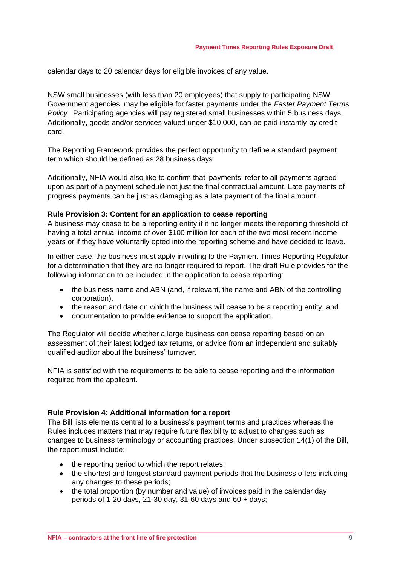calendar days to 20 calendar days for eligible invoices of any value.

NSW small businesses (with less than 20 employees) that supply to participating NSW Government agencies, may be eligible for faster payments under the *[Faster Payment Terms](https://www.smallbusiness.nsw.gov.au/help-centre/faster-payment/faster-payment-terms-policy)  [Policy](https://www.smallbusiness.nsw.gov.au/help-centre/faster-payment/faster-payment-terms-policy)*. [Participating agencies](https://www.smallbusiness.nsw.gov.au/help-centre/faster-payment/participating-agencies-and-where-send-your-invoices) will pay registered small businesses within 5 business days. Additionally, goods and/or services valued under \$10,000, can be paid instantly [by credit](https://www.smallbusiness.nsw.gov.au/sites/default/files/2019-08/Faster-Payment-Terms-Credit-Card-Facilities-fact-sheet.pdf)  [card.](https://www.smallbusiness.nsw.gov.au/sites/default/files/2019-08/Faster-Payment-Terms-Credit-Card-Facilities-fact-sheet.pdf)

The Reporting Framework provides the perfect opportunity to define a standard payment term which should be defined as 28 business days.

Additionally, NFIA would also like to confirm that 'payments' refer to all payments agreed upon as part of a payment schedule not just the final contractual amount. Late payments of progress payments can be just as damaging as a late payment of the final amount.

#### **Rule Provision 3: Content for an application to cease reporting**

A business may cease to be a reporting entity if it no longer meets the reporting threshold of having a total annual income of over \$100 million for each of the two most recent income years or if they have voluntarily opted into the reporting scheme and have decided to leave.

In either case, the business must apply in writing to the Payment Times Reporting Regulator for a determination that they are no longer required to report. The draft Rule provides for the following information to be included in the application to cease reporting:

- the business name and ABN (and, if relevant, the name and ABN of the controlling corporation),
- the reason and date on which the business will cease to be a reporting entity, and
- documentation to provide evidence to support the application.

The Regulator will decide whether a large business can cease reporting based on an assessment of their latest lodged tax returns, or advice from an independent and suitably qualified auditor about the business' turnover.

NFIA is satisfied with the requirements to be able to cease reporting and the information required from the applicant.

#### **Rule Provision 4: Additional information for a report**

The Bill lists elements central to a business's payment terms and practices whereas the Rules includes matters that may require future flexibility to adjust to changes such as changes to business terminology or accounting practices. Under subsection 14(1) of the Bill, the report must include:

- the reporting period to which the report relates;
- the shortest and longest standard payment periods that the business offers including any changes to these periods;
- the total proportion (by number and value) of invoices paid in the calendar day periods of 1-20 days, 21-30 day, 31-60 days and 60 + days;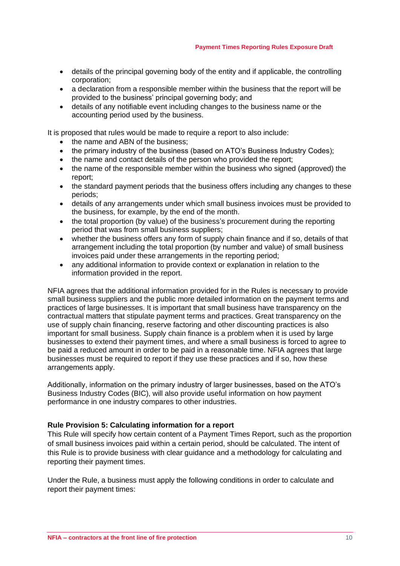- details of the principal governing body of the entity and if applicable, the controlling corporation;
- a declaration from a responsible member within the business that the report will be provided to the business' principal governing body; and
- details of any notifiable event including changes to the business name or the accounting period used by the business.

It is proposed that rules would be made to require a report to also include:

- the name and ABN of the business;
- the primary industry of the business (based on ATO's Business Industry Codes);
- the name and contact details of the person who provided the report;
- the name of the responsible member within the business who signed (approved) the report;
- the standard payment periods that the business offers including any changes to these periods;
- details of any arrangements under which small business invoices must be provided to the business, for example, by the end of the month.
- the total proportion (by value) of the business's procurement during the reporting period that was from small business suppliers;
- whether the business offers any form of supply chain finance and if so, details of that arrangement including the total proportion (by number and value) of small business invoices paid under these arrangements in the reporting period;
- any additional information to provide context or explanation in relation to the information provided in the report.

NFIA agrees that the additional information provided for in the Rules is necessary to provide small business suppliers and the public more detailed information on the payment terms and practices of large businesses. It is important that small business have transparency on the contractual matters that stipulate payment terms and practices. Great transparency on the use of supply chain financing, reserve factoring and other discounting practices is also important for small business. Supply chain finance is a problem when it is used by large businesses to extend their payment times, and where a small business is forced to agree to be paid a reduced amount in order to be paid in a reasonable time. NFIA agrees that large businesses must be required to report if they use these practices and if so, how these arrangements apply.

Additionally, information on the primary industry of larger businesses, based on the ATO's Business Industry Codes (BIC), will also provide useful information on how payment performance in one industry compares to other industries.

## **Rule Provision 5: Calculating information for a report**

This Rule will specify how certain content of a Payment Times Report, such as the proportion of small business invoices paid within a certain period, should be calculated. The intent of this Rule is to provide business with clear guidance and a methodology for calculating and reporting their payment times.

Under the Rule, a business must apply the following conditions in order to calculate and report their payment times: